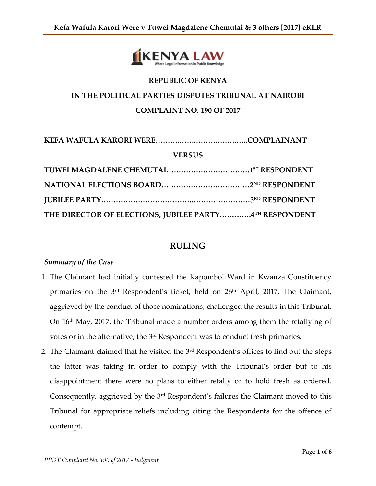

## **REPUBLIC OF KENYA**

## **IN THE POLITICAL PARTIES DISPUTES TRIBUNAL AT NAIROBI**

#### **COMPLAINT NO. 190 OF 2017**

**KEFA WAFULA KARORI WERE……….…….……….…….…..COMPLAINANT**

#### **VERSUS**

| THE DIRECTOR OF ELECTIONS, JUBILEE PARTY4TH RESPONDENT |  |
|--------------------------------------------------------|--|

## **RULING**

#### *Summary of the Case*

- 1. The Claimant had initially contested the Kapomboi Ward in Kwanza Constituency primaries on the 3<sup>rd</sup> Respondent's ticket, held on 26<sup>th</sup> April, 2017. The Claimant, aggrieved by the conduct of those nominations, challenged the results in this Tribunal. On 16th May, 2017, the Tribunal made a number orders among them the retallying of votes or in the alternative; the 3rd Respondent was to conduct fresh primaries.
- 2. The Claimant claimed that he visited the  $3<sup>rd</sup>$  Respondent's offices to find out the steps the latter was taking in order to comply with the Tribunal's order but to his disappointment there were no plans to either retally or to hold fresh as ordered. Consequently, aggrieved by the 3rd Respondent's failures the Claimant moved to this Tribunal for appropriate reliefs including citing the Respondents for the offence of contempt.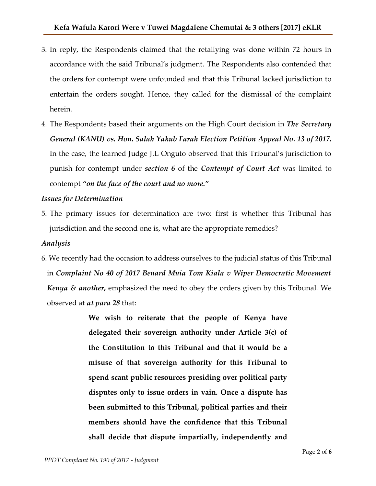- 3. In reply, the Respondents claimed that the retallying was done within 72 hours in accordance with the said Tribunal's judgment. The Respondents also contended that the orders for contempt were unfounded and that this Tribunal lacked jurisdiction to entertain the orders sought. Hence, they called for the dismissal of the complaint herein.
- 4. The Respondents based their arguments on the High Court decision in *The Secretary General (KANU) vs. Hon. Salah Yakub Farah Election Petition Appeal No. 13 of 2017.* In the case, the learned Judge J.L Onguto observed that this Tribunal's jurisdiction to punish for contempt under *section 6* of the *Contempt of Court Act* was limited to contempt *"on the face of the court and no more."*

#### *Issues for Determination*

5. The primary issues for determination are two: first is whether this Tribunal has jurisdiction and the second one is, what are the appropriate remedies?

#### *Analysis*

6. We recently had the occasion to address ourselves to the judicial status of this Tribunal in *Complaint No 40 of 2017 Benard Muia Tom Kiala v Wiper Democratic Movement Kenya & another,* emphasized the need to obey the orders given by this Tribunal. We observed at *at para 28* that:

> **We wish to reiterate that the people of Kenya have delegated their sovereign authority under Article 3(c) of the Constitution to this Tribunal and that it would be a misuse of that sovereign authority for this Tribunal to spend scant public resources presiding over political party disputes only to issue orders in vain. Once a dispute has been submitted to this Tribunal, political parties and their members should have the confidence that this Tribunal shall decide that dispute impartially, independently and**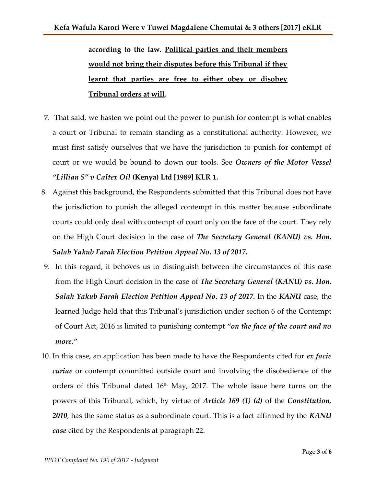# **according to the law. Political parties and their members would not bring their disputes before this Tribunal if they learnt that parties are free to either obey or disobey Tribunal orders at will.**

- 7. That said, we hasten we point out the power to punish for contempt is what enables a court or Tribunal to remain standing as a constitutional authority. However, we must first satisfy ourselves that we have the jurisdiction to punish for contempt of court or we would be bound to down our tools. See *Owners of the Motor Vessel "Lillian S" v Caltex Oil* **(Kenya) Ltd [1989] KLR 1.**
- 8. Against this background, the Respondents submitted that this Tribunal does not have the jurisdiction to punish the alleged contempt in this matter because subordinate courts could only deal with contempt of court only on the face of the court. They rely on the High Court decision in the case of *The Secretary General (KANU) vs. Hon. Salah Yakub Farah Election Petition Appeal No. 13 of 2017.*
- 9. In this regard, it behoves us to distinguish between the circumstances of this case from the High Court decision in the case of *The Secretary General (KANU) vs. Hon. Salah Yakub Farah Election Petition Appeal No. 13 of 2017.* In the *KANU* case, the learned Judge held that this Tribunal's jurisdiction under section 6 of the Contempt of Court Act, 2016 is limited to punishing contempt *"on the face of the court and no more."*
- 10. In this case, an application has been made to have the Respondents cited for *ex facie curiae* or contempt committed outside court and involving the disobedience of the orders of this Tribunal dated 16th May, 2017. The whole issue here turns on the powers of this Tribunal, which, by virtue of *Article 169 (1) (d)* of the *Constitution, 2010*, has the same status as a subordinate court. This is a fact affirmed by the *KANU case* cited by the Respondents at paragraph 22.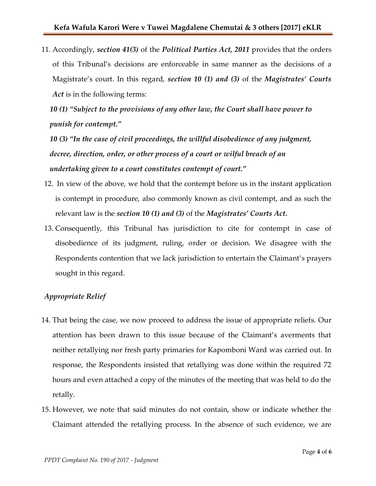11. Accordingly, *section 41(3)* of the *Political Parties Act, 2011* provides that the orders of this Tribunal's decisions are enforceable in same manner as the decisions of a Magistrate's court. In this regard, *section 10 (1) and (3)* of the *Magistrates' Courts Act* is in the following terms:

*10 (1) "Subject to the provisions of any other law, the Court shall have power to punish for contempt."*

*10 (3) "In the case of civil proceedings, the willful disobedience of any judgment, decree, direction, order, or other process of a court or wilful breach of an undertaking given to a court constitutes contempt of court."*

- 12. In view of the above, we hold that the contempt before us in the instant application is contempt in procedure, also commonly known as civil contempt, and as such the relevant law is the *section 10 (1) and (3)* of the *Magistrates' Courts Act.*
- 13. Consequently, this Tribunal has jurisdiction to cite for contempt in case of disobedience of its judgment, ruling, order or decision. We disagree with the Respondents contention that we lack jurisdiction to entertain the Claimant's prayers sought in this regard.

#### *Appropriate Relief*

- 14. That being the case, we now proceed to address the issue of appropriate reliefs. Our attention has been drawn to this issue because of the Claimant's averments that neither retallying nor fresh party primaries for Kapomboni Ward was carried out. In response, the Respondents insisted that retallying was done within the required 72 hours and even attached a copy of the minutes of the meeting that was held to do the retally.
- 15. However, we note that said minutes do not contain, show or indicate whether the Claimant attended the retallying process. In the absence of such evidence, we are